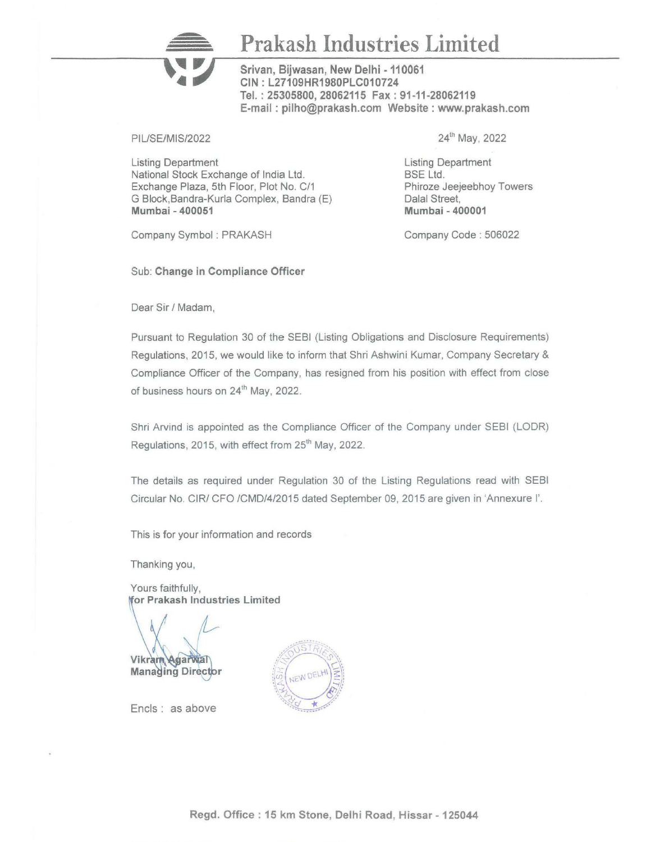# **Prakash Industries Limited**

**Srivan, Bijwasan, New Delhi -110061 CJN: L27109HR1980PLC010724 Tel. : 25305800, 28062115 Fax: 91-11-28062119 E-mail : pilho@prakash.com Website : www.prakash.com** 

#### PIL/SE/MIS/2022

Listing Department National Stock Exchange of India Ltd. Exchange Plaza, 5th Floor, Plot No. C/1 G Block,Bandra-Kurla Complex, Sandra (E) **Mumbai - 400051** 

24<sup>th</sup> May, 2022

Listing Department BSE Ltd. Phiroze Jeejeebhoy Towers Dalal Street, **Mumbai - 400001** 

Company Code : 506022

Company Symbol : PRAKASH

Sub: **Change in Compliance Officer** 

Dear Sir / Madam,

Pursuant to Regulation 30 of the SEBI (Listing Obligations and Disclosure Requirements) Regulations, 2015, we would like to inform that Shri Ashwini Kumar, Company Secretary & Compliance Officer of the Company, has resigned from his position with effect from close of business hours on 24<sup>th</sup> May, 2022.

Shri Arvind is appointed as the Compliance Officer of the Company under SEBI (LODR) Regulations, 2015, with effect from 25<sup>th</sup> May, 2022.

The details as required under Regulation 30 of the Listing Regulations read with SEBI Circular No. CIR/ CFO /CMD/4/2015 dated September 09, 2015 are given in 'Annexure 1'.

This is for your information and records

Thanking you,

Yours faithfully, **or Prakash Industries Limited** 



Encls : as above